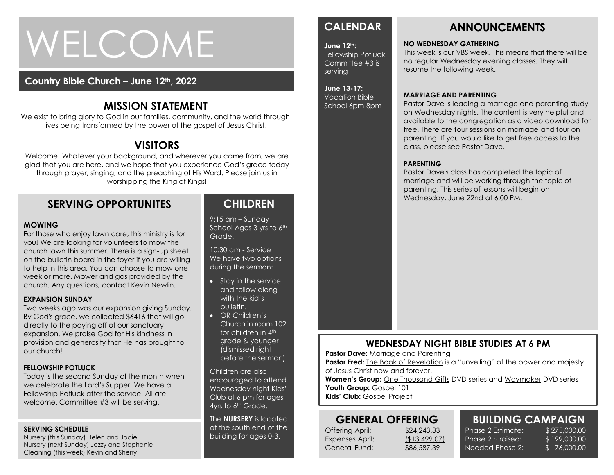# WELCOME

### **Country Bible Church – June 12th, 2022**

## **MISSION STATEMENT**

We exist to bring glory to God in our families, community, and the world through lives being transformed by the power of the gospel of Jesus Christ.

# **VISITORS**

Welcome! Whatever your background, and wherever you came from, we are glad that you are here, and we hope that you experience God's grace today through prayer, singing, and the preaching of His Word. Please join us in worshipping the King of Kings!

### **SERVING OPPORTUNITES**

### **MOWING**

week or more. Mower and gas provided by the<br>week or more. Mower and gas provided by the For those who enjoy lawn care, this ministry is for you! We are looking for volunteers to mow the church lawn this summer. There is a sign-up sheet on the bulletin board in the foyer if you are willing to help in this area. You can choose to mow one church. Any questions, contact Kevin Newlin.

### **EXPANSION SUNDAY**

Two weeks ago was our expansion giving Sunday. By God's grace, we collected \$6416 that will go directly to the paying off of our sanctuary expansion. We praise God for His kindness in provision and generosity that He has brought to our church!

### **FELLOWSHIP POTLUCK**

Today is the second Sunday of the month when we celebrate the Lord's Supper. We have a Fellowship Potluck after the service. All are welcome. Committee #3 will be serving.

### **SERVING SCHEDULE**

Nursery (this Sunday) Helen and Jodie Nursery (next Sunday) Jazzy and Stephanie Cleaning (this week) Kevin and Sherry

### **CHILDREN**

9:15 am – Sunday School Ages 3 yrs to 6th Grade.

10:30 am - Service We have two options during the sermon:

- Stay in the service and follow along with the kid's bulletin.
- OR Children's Church in room 102 for children in 4<sup>th</sup> grade & younger (dismissed right before the sermon)

Children are also encouraged to attend Wednesday night Kids' Club at 6 pm for ages 4yrs to 6<sup>th</sup> Grade.

The **NURSERY** is located at the south end of the building for ages 0-3.

# **CALENDAR**

**June 12th:**  Fellowship Potluck Committee #3 is serving

### **June 13-17:**

Vacation Bible School 6pm-8pm

### **ANNOUNCEMENTS**

### **NO WEDNESDAY GATHERING**

This week is our VBS week. This means that there will be no regular Wednesday evening classes. They will resume the following week.

### **MARRIAGE AND PARENTING**

Pastor Dave is leading a marriage and parenting study on Wednesday nights. The content is very helpful and available to the congregation as a video download for free. There are four sessions on marriage and four on parenting. If you would like to get free access to the class, please see Pastor Dave.

### **PARENTING**

Pastor Dave's class has completed the topic of marriage and will be working through the topic of parenting. This series of lessons will begin on Wednesday, June 22nd at 6:00 PM.

### **WEDNESDAY NIGHT BIBLE STUDIES AT 6 PM**

**Pastor Dave: Marriage and Parenting** 

**Pastor Fred:** The Book of Revelation is a "unveiling" of the power and majesty of Jesus Christ now and forever.

**Women's Group:** One Thousand Gifts DVD series and Waymaker DVD series Youth Group: Gospel 101 **Kids' Club:** Gospel Project

### **GENERAL OFFERING** Offering April: \$24,243.33 Expenses April: (\$13,499.07)

General Fund: \$86,587.39

# **BUILDING CAMPAIGN**

Phase 2 Estimate: \$275,000.00 Phase  $2 \sim$  raised: Needed Phase 2:

\$ 199,000.00 \$ 76,000.00